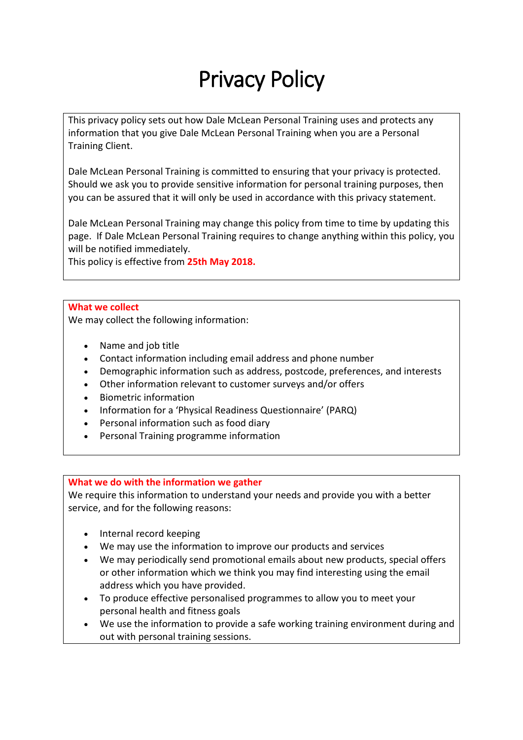# Privacy Policy

This privacy policy sets out how Dale McLean Personal Training uses and protects any information that you give Dale McLean Personal Training when you are a Personal Training Client.

Dale McLean Personal Training is committed to ensuring that your privacy is protected. Should we ask you to provide sensitive information for personal training purposes, then you can be assured that it will only be used in accordance with this privacy statement.

Dale McLean Personal Training may change this policy from time to time by updating this page. If Dale McLean Personal Training requires to change anything within this policy, you will be notified immediately.

This policy is effective from **25th May 2018.**

### **What we collect**

We may collect the following information:

- Name and job title
- Contact information including email address and phone number
- Demographic information such as address, postcode, preferences, and interests
- Other information relevant to customer surveys and/or offers
- Biometric information
- Information for a 'Physical Readiness Questionnaire' (PARQ)
- Personal information such as food diary
- Personal Training programme information

### **What we do with the information we gather**

We require this information to understand your needs and provide you with a better service, and for the following reasons:

- Internal record keeping
- We may use the information to improve our products and services
- We may periodically send promotional emails about new products, special offers or other information which we think you may find interesting using the email address which you have provided.
- To produce effective personalised programmes to allow you to meet your personal health and fitness goals
- We use the information to provide a safe working training environment during and out with personal training sessions.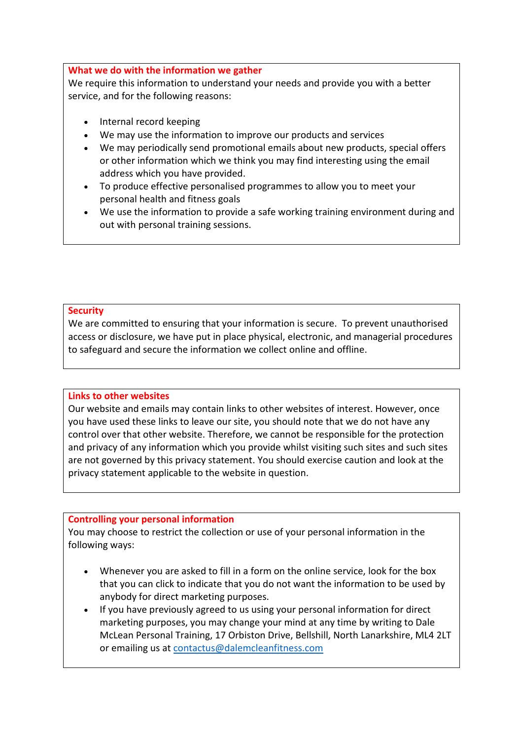### **What we do with the information we gather**

We require this information to understand your needs and provide you with a better service, and for the following reasons:

- Internal record keeping
- We may use the information to improve our products and services
- We may periodically send promotional emails about new products, special offers or other information which we think you may find interesting using the email address which you have provided.
- To produce effective personalised programmes to allow you to meet your personal health and fitness goals
- We use the information to provide a safe working training environment during and out with personal training sessions.

### **Security**

We are committed to ensuring that your information is secure. To prevent unauthorised access or disclosure, we have put in place physical, electronic, and managerial procedures to safeguard and secure the information we collect online and offline.

## **Links to other websites**

Our website and emails may contain links to other websites of interest. However, once you have used these links to leave our site, you should note that we do not have any control over that other website. Therefore, we cannot be responsible for the protection and privacy of any information which you provide whilst visiting such sites and such sites are not governed by this privacy statement. You should exercise caution and look at the privacy statement applicable to the website in question.

## **Controlling your personal information**

You may choose to restrict the collection or use of your personal information in the following ways:

- Whenever you are asked to fill in a form on the online service, look for the box that you can click to indicate that you do not want the information to be used by anybody for direct marketing purposes.
- If you have previously agreed to us using your personal information for direct marketing purposes, you may change your mind at any time by writing to Dale McLean Personal Training, 17 Orbiston Drive, Bellshill, North Lanarkshire, ML4 2LT or emailing us at [contactus@dalemcleanfitness.com](mailto:contactus@dalemcleanfitness.com)